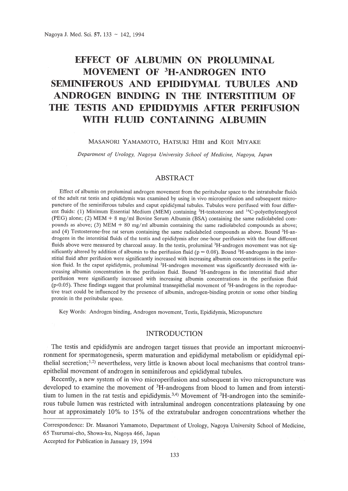# **EFFECT OF ALBUMIN ON PROLUMINAL MOVEMENT OF 3H-ANDROGEN INTO SEMINIFEROUS AND EPIDIDYMAL TUBULES AND ANDROGEN BINDING IN THE INTERSTITIUM OF THE TESTIS AND EPIDIDYMIS AFTER PERIFUSION WITH FLUID CONTAINING ALBUMIN**

### MASANORI YAMAMOTO, HATSUKI HIBI and KOJI MIYAKE

*Department of Urology, Nagoya University School of Medicine, Nagoya, Japan*

# ABSTRACT

Effect of albumin on proluminal androgen movement from the peritubular space to the intratubular fluids of the adult rat testis and epididymis was examined by using in vivo microperifusion and subsequent micropuncture of the seminiferous tubules and caput epididymal tubules. Tubules were perifused with four different fluids: (1) Minimum Essential Medium (MEM) containing 3H-testosterone and 14C-polyethyleneglycol (PEG) alone; (2) MEM + 8 mg/ml Bovine Serum Albumin (BSA) containing the same radiolabeled compounds as above; (3) MEM  $+$  80 mg/ml albumin containing the same radiolabeled compounds as above; and (4) Testosterone-free rat serum containing the same radiolabeled compounds as above. Bound 3H-androgens in the interstitial fluids of the testis and epididymis after one-hour perifusion with the four different fluids above were measured by charcoal assay. In the testis, proluminal <sup>3</sup>H-androgen movement was not significantly altered by addition of albumin to the perifusion fluid ( $p = 0.08$ ). Bound <sup>3</sup>H-androgens in the interstitial fluid after perifusion were significantly increased with increasing albumin concentrations in the perifusion fluid. In the caput epididymis, proluminal <sup>3</sup>H-androgen movement was significantly decreased with increasing albumin concentration in the perifusion fluid. Bound 3H-androgens in the interstitial fluid after perifusion were significantly increased with increasing albumin concentrations in the perifusion fluid ( $p<sub>0.05</sub>$ ). These findings suggest that proluminal transepithelial movement of  ${}^{3}$ H-androgens in the reproductive tract could be influenced by the presence of albumin, androgen-binding protein or some other binding protein in the peritubular space.

Key Words: Androgen binding, Androgen movement, Testis, Epididymis, Micropuncture

## INTRODUCTION

The testis and epididymis are androgen target tissues that provide an important microenvironment for spermatogenesis, sperm maturation and epididymal metabolism or epididymal epithelial secretion;<sup>1,2)</sup> nevertheless, very little is known about local mechanisms that control transepithelial movement of androgen in seminiferous and epididymal tubules.

Recently, a new system of in vivo microperifusion and subsequent in vivo micropuncture was developed to examine the movement of 3H-androgens from blood to lumen and from interstitium to lumen in the rat testis and epididymis.<sup>3,4)</sup> Movement of  ${}^{3}H$ -androgen into the seminiferous tubule lumen was restricted with intraluminal androgen concentrations plateauing by one hour at approximately 10% to 15% of the extratubular androgen concentrations whether the

Correspondence: Dr. Masanori Yamamoto, Department of Urology, Nagoya University School of Medicine, 65 Tsurumai-cho, Showa-ku, Nagoya 466, Japan

Accepted for Publication in January 19, 1994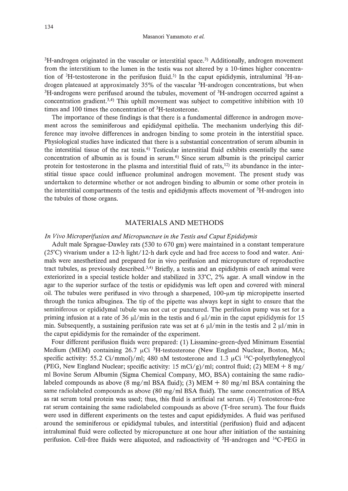$3H$ -androgen originated in the vascular or interstitial space.<sup>3)</sup> Additionally, androgen movement from the interstitium to the lumen in the testis was not altered by a 10-times higher concentration of  ${}^{3}H$ -testosterone in the perifusion fluid.<sup>5)</sup> In the caput epididymis, intraluminal  ${}^{3}H$ -androgen plateaued at approximately 35% of the vascular 3H-androgen concentrations, but when <sup>3</sup>H-androgens were perifused around the tubules, movement of <sup>3</sup>H-androgen occurred against a concentration gradient.<sup>3,4)</sup> This uphill movement was subject to competitive inhibition with 10 times and 100 times the concentration of 3H-testosterone.

The importance of these findings is that there is a fundamental difference in androgen movement across the seminiferous and epididymal epithelia. The mechanism underlying this difference may involve differences in androgen binding to some protein in the interstitial space. Physiological studies have indicated that there is a substantial concentration of serum albumin in the interstitial tissue of the rat testis. 6) Testicular interstitial fluid exhibits essentially the same concentration of albumin as is found in serum.6) Since serum albumin is the principal carrier protein for testosterone in the plasma and interstitial fluid of rats, $12$ ) its abundance in the interstitial tissue space could influence proluminal androgen movement. The present study was undertaken to determine whether or not androgen binding to albumin or some other protein in the interstitial compartments of the testis and epididymis affects movement of <sup>3</sup>H-androgen into the tubules of those organs.

## MATERIALS AND METHODS

## *In Vivo Microperifusion and Micropuncture in the Testis and Caput Epididymis*

Adult male Sprague-Dawley rats (530 to 670 gm) were maintained in a constant temperature  $(25^{\circ}\text{C})$  vivarium under a 12-h light/12-h dark cycle and had free access to food and water. Animals were anesthetized and prepared for in vivo perifusion and micropuncture of reproductive tract tubules, as previously described.<sup>3,4)</sup> Briefly, a testis and an epididymis of each animal were exteriorized in a special testicle holder and stabilized in 33°C, 2% agar. A small window in the agar to the superior surface of the testis or epididymis was left open and covered with mineral oil. The tubules were perifused in vivo through a sharpened,  $100-\mu m$  tip micropipette inserted through the tunica albuginea. The tip of the pipette was always kept in sight to ensure that the seminiferous or epididymal tubule was not cut or punctured. The perifusion pump was set for a priming infusion at a rate of 36  $\mu$ l/min in the testis and 6  $\mu$ l/min in the caput epididymis for 15 min. Subsequently, a sustaining perifusion rate was set at 6  $\mu$ l/min in the testis and 2  $\mu$ l/min in the caput epididymis for the remainder of the experiment.

Four different perifusion fluids were prepared: (1) Lissamine-green-dyed Minimum Essential Medium (MEM) containing 26.7  $\mu$ Ci <sup>3</sup>H-testosterone (New England Nuclear, Boston, MA; specific activity: 55.2 Ci/mmol)/ml; 480 nM testosterone and 1.3  $\mu$ Ci <sup>14</sup>C-polyethyleneglycol (PEG, New England Nuclear; specific activity: 15 mCi/g)/ml; control fluid; (2) MEM + 8 mg/ ml Bovine Serum Albumin (Sigma Chemical Company, MO, BSA) containing the same radiolabeled compounds as above (8 mg/ml BSA fluid); (3) MEM  $+$  80 mg/ml BSA containing the same radiolabeled compounds as above (80 mg/ml BSA fluid). The same concentration of BSA as rat serum total protein was used; thus, this fluid is artificial rat serum. (4) Testosterone-free rat serum containing the same radiolabeled compounds as above (T-free serum). The four fluids were used in different experiments on the testes and caput epididymides. A fluid was perifused around the seminiferous or epididymal tubules, and interstitial (perifusion) fluid and adjacent intraluminal fluid were collected by micropuncture at one hour after initiation of the sustaining perifusion. Cell-free fluids were aliquoted, and radioactivity of 3H-androgen and 14C-PEG in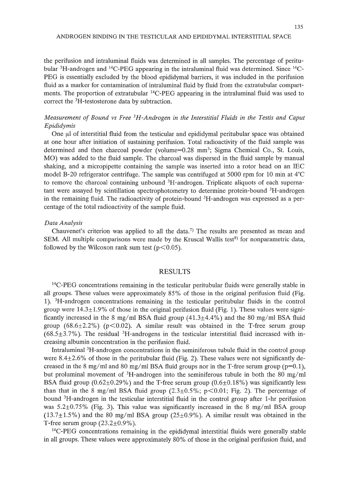the perifusion and intraluminal fluids was determined in all samples. The percentage of peritubular <sup>3</sup>H-androgen and <sup>14</sup>C-PEG appearing in the intraluminal fluid was determined. Since <sup>14</sup>C-PEG is essentially excluded by the blood epididymal barriers, it was included in the perifusion fluid as a marker for contamination of intraluminal fluid by fluid from the extratubular compartments. The proportion of extratubular <sup>14</sup>C-PEG appearing in the intraluminal fluid was used to correct the 3H-testosterone data by subtraction.

# *Measurement of Bound vs Free* <sup>3</sup>*H-Androgen in the Interstitial Fluids in the Testis and Caput Epididymis*

One  $\mu$  of interstitial fluid from the testicular and epididymal peritubular space was obtained at one hour after initiation of sustaining perifusion. Total radioactivity of the fluid sample was determined and then charcoal powder (volume=0.28 mm<sup>3</sup>; Sigma Chemical Co., St. Louis, MO) was added to the fluid sample. The charcoal was dispersed in the fluid sample by manual shaking, and a micropipette containing the sample was inserted into a rotor head on an IEC model B-20 refrigerator centrifuge. The sample was centrifuged at 5000 rpm for 10 min at  $4^{\circ}$ C to remove the charcoal containing unbound <sup>3</sup>H-androgen. Triplicate aliquots of each supernatant were assayed by scintillation spectrophotometry to determine protein-bound 3H-androgen in the remaining fluid. The radioactivity of protein-bound <sup>3</sup>H-androgen was expressed as a percentage of the total radioactivity of the sample fluid.

#### *Data Analysis*

Chauvenet's criterion was applied to all the data.<sup>7)</sup> The results are presented as mean and SEM. All multiple comparisons were made by the Kruscal Wallis test<sup>8)</sup> for nonparametric data, followed by the Wilcoxon rank sum test ( $p < 0.05$ ).

### RESULTS

<sup>14</sup>C-PEG concentrations remaining in the testicular peritubular fluids were generally stable in all groups. These values were approximately 85% of those in the original perifusion fluid (Fig. 1). 3H-androgen concentrations remaining in the testicular peritubular fluids in the control group were  $14.3 \pm 1.9\%$  of those in the original perifusion fluid (Fig. 1). These values were significantly increased in the 8 mg/ml BSA fluid group  $(41.3 \pm 4.4\%)$  and the 80 mg/ml BSA fluid group (68.6 $\pm$ 2.2%) (p<0.02). A similar result was obtained in the T-free serum group  $(68.5\pm3.7\%)$ . The residual <sup>3</sup>H-androgens in the testicular interstitial fluid increased with increasing albumin concentration in the perifusion fluid.

Intraluminal 3H-androgen concentrations in the seminiferous tubule fluid in the control group were  $8.4 \pm 2.6\%$  of those in the peritubular fluid (Fig. 2). These values were not significantly decreased in the 8 mg/ml and 80 mg/ml BSA fluid groups nor in the T-free serum group ( $p=0.1$ ), but proluminal movement of 3H-androgen into the seminiferous tubule in both the 80 mg/ml BSA fluid group ( $0.62 \pm 0.29\%$ ) and the T-free serum group ( $0.6 \pm 0.18\%$ ) was significantly less than that in the 8 mg/ml BSA fluid group  $(2.3\pm0.5\%; p<0.01;$  Fig. 2). The percentage of bound 3H-androgen in the testicular interstitial fluid in the control group after 1-hr perifusion was  $5.2 \pm 0.75\%$  (Fig. 3). This value was significantly increased in the 8 mg/ml BSA group  $(13.7\pm1.5\%)$  and the 80 mg/ml BSA group  $(25\pm0.9\%)$ . A similar result was obtained in the T-free serum group  $(23.2\pm0.9\%)$ .

<sup>14</sup>C-PEG concentrations remaining in the epididymal interstitial fluids were generally stable in all groups. These values were approximately 80% of those in the original perifusion fluid, and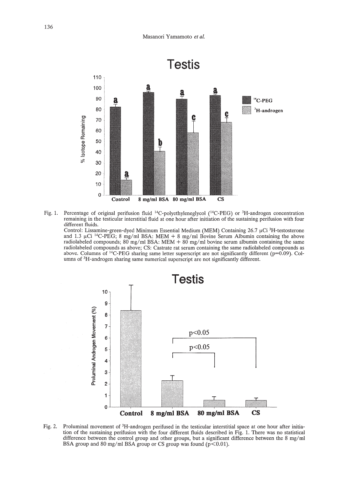

Fig. 1. Percentage of original perifusion fluid <sup>14</sup>C-polyethyleneglycol (<sup>14</sup>C-PEG) or <sup>3</sup>H-androgen concentration remaining in the testicular interstitial fluid at one hour after initiation of the sustaining perifusion with four different fluids.

Control: Lissamine-green-dyed Minimum Essential Medium (MEM) Containing  $26.7 \mu$ Ci <sup>3</sup>H-testosterone and 1.3  $\mu$ Ci <sup>14</sup>C-PEG; 8 mg/ml BSA: MEM + 8 mg/ml Bovine Serum Albumin containing the above radiolabeled compounds; 80 mg/ml BSA: MEM  $+$  80 mg/ml bovine serum albumin containing the same radiolabeled compounds as above; CS: Castrate rat serum containing the same radiolabeled compounds as above. Columns of <sup>14</sup>C-PEG sharing same letter superscript are not significantly different (p=0.09). Columns of 3H-androgen sharing same numerical superscript are not significantly different.



Fig. 2. Proluminal movement of <sup>3</sup>H-androgen perifused in the testicular interstitial space at one hour after initiation of the sustaining perifusion with the four different fluids described in Fig. 1. There was no statistical difference between the control group and other groups, but a significant difference between the 8 mg/ml BSA group and 80 mg/ml BSA group or CS group was found ( $p$ <0.01).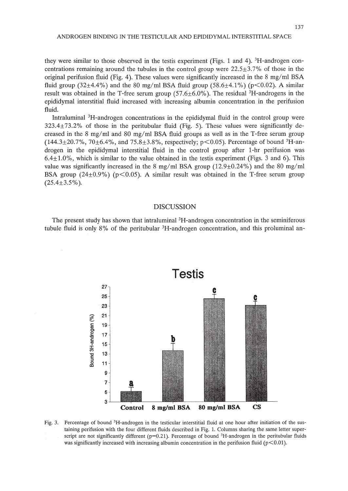they were similar to those observed in the testis experiment (Figs. 1 and 4).  ${}^{3}$ H-androgen concentrations remaining around the tubules in the control group were  $22.5\pm3.7\%$  of those in the original perifusion fluid (Fig. 4). These values were significantly increased in the 8 mg/ml BSA fluid group (32 $\pm$ 4.4%) and the 80 mg/ml BSA fluid group (58.6 $\pm$ 4.1%) (p $\lt$ 0.02). A similar result was obtained in the T-free serum group  $(57.6\pm6.0\%)$ . The residual <sup>3</sup>H-androgens in the epididymal interstitial fluid increased with increasing albumin concentration in the perifusion fluid.

Intraluminal <sup>3</sup>H-androgen concentrations in the epididymal fluid in the control group were 323.4±73.2% of those in the peritubular fluid (Fig. 5). These values were significantly decreased in the 8 mg/ml and 80 mg/ml BSA fluid groups as well as in the T-free serum group  $(144.3 \pm 20.7\%, 70 \pm 6.4\%, \text{ and } 75.8 \pm 3.8\%, \text{ respectively}; \text{ p} < 0.05)$ . Percentage of bound <sup>3</sup>H-androgen in the epididymal interstitial fluid in the control group after I-hr perifusion was  $6.4 \pm 1.0\%$ , which is similar to the value obtained in the testis experiment (Figs. 3 and 6). This value was significantly increased in the 8 mg/ml BSA group ( $12.9\pm0.24\%$ ) and the 80 mg/ml BSA group ( $24\pm0.9\%$ ) ( $p<0.05$ ). A similar result was obtained in the T-free serum group  $(25.4 \pm 3.5\%)$ .

## DISCUSSION

The present study has shown that intraluminal 3H-androgen concentration in the seminiferous tubule fluid is only 8% of the peritubular <sup>3</sup>H-androgen concentration, and this proluminal an-



Fig. 3. Percentage of bound <sup>3</sup>H-androgen in the testicular interstitial fluid at one hour after initiation of the sustaining perifusion with the four different fluids described in Fig. 1. Columns sharing the same letter superscript are not significantly different ( $p=0.21$ ). Percentage of bound <sup>3</sup>H-androgen in the peritubular fluids was significantly increased with increasing albumin concentration in the perifusion fluid ( $p<0.01$ ).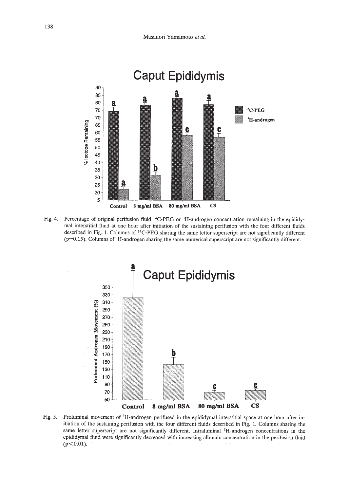

Fig. 4. Percentage of original perifusion fluid <sup>14</sup>C-PEG or <sup>3</sup>H-androgen concentration remaining in the epididymal interstitial fluid at one hour after initiation of the sustaining perifusion with the four different fluids described in Fig. 1. Columns of 14C-PEG sharing the same letter superscript are not significantly different  $(p=0.15)$ . Columns of <sup>3</sup>H-androgen sharing the same numerical superscript are not significantly different.



Fig. 5. Proluminal movement of 3H-androgen perifused in the epididymal interstitial space at one hour after initiation of the sustaining perifusion with the four different fluids described in Fig. 1. Columns sharing the same letter superscript are not significantly different. Intraluminal <sup>3</sup>H-androgen concentrations in the epididymal fluid were significantly decreased with increasing albumin concentration in the perifusion fluid  $(p<0.01)$ .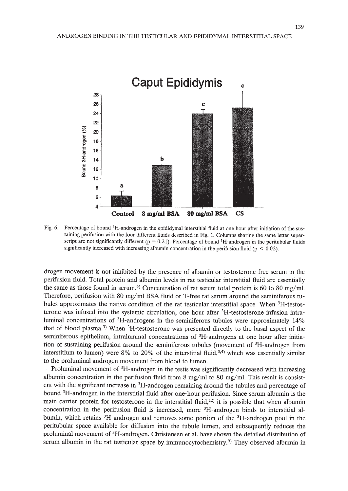

Fig. 6. Percentage of bound <sup>3</sup>H-androgen in the epididymal interstitial fluid at one hour after initiation of the sustaining perifusion with the four different fluids described in Fig. 1. Columns sharing the same letter superscript are not significantly different ( $p = 0.21$ ). Percentage of bound <sup>3</sup>H-androgen in the peritubular fluids significantly increased with increasing albumin concentration in the perifusion fluid ( $p < 0.02$ ).

drogen movement is not inhibited by the presence of albumin or testosterone-free serum in the perifusion fluid. Total protein and albumin levels in rat testicular interstitial fluid are essentially the same as those found in serum.<sup>6)</sup> Concentration of rat serum total protein is 60 to 80 mg/ml. Therefore, perifusion with 80 mg/ml BSA fluid or T-free rat serum around the seminiferous tubules approximates the native condition of the rat testicular interstitial space. When 3H-testosterone was infused into the systemic circulation, one hour after 3H-testosterone infusion intraluminal concentrations of 3H-androgens in the seminiferous tubules were approximately 14% that of blood plasma.3) When 3H-testosterone was presented directly to the basal aspect of the seminiferous epithelium, intraluminal concentrations of <sup>3</sup>H-androgens at one hour after initiation of sustaining perifusion around the seminiferous tubules (movement of 3H-androgen from interstitium to lumen) were 8% to 20% of the interstitial fluid, $3,4$ ) which was essentially similar to the proluminal androgen movement from blood to lumen.

Proluminal movement of <sup>3</sup>H-androgen in the testis was significantly decreased with increasing albumin concentration in the perifusion fluid from 8 mg/ml to 80 mg/ml. This result is consistent with the significant increase in 3H-androgen remaining around the tubules and percentage of bound 3H-androgen in the interstitial fluid after one-hour perifusion. Since serum albumin is the main carrier protein for testosterone in the interstitial fluid, $12$ ) it is possible that when albumin concentration in the perifusion fluid is increased, more 3H-androgen binds to interstitial albumin, which retains 3H-androgen and removes some portion of the 3H-androgen pool in the peritubular space available for diffusion into the tubule lumen, and subsequently reduces the proluminal movement of 3H-androgen. Christensen et al. have shown the detailed distribution of serum albumin in the rat testicular space by immunocytochemistry.<sup>9)</sup> They observed albumin in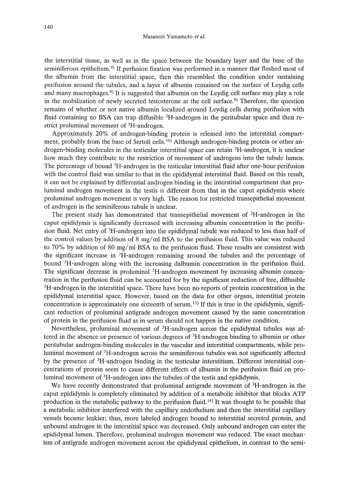the interstitial tissue, as well as in the space between the boundary layer and the base of the seminiferous epithelium.<sup>9)</sup> If perfusion fixation was performed in a manner that flushed most of the albumin from the interstitial space, then this resembled the condition under sustaining perifusion around the tubules, and a layer of albumin remained on the surface of Leydig cells and many macrophages.<sup>9)</sup> It is suggested that albumin on the Leydig cell surface may play a role in the mobilization of newly secreted testosterone at the cell surface.<sup>9)</sup> Therefore, the question remains of whether or not native albumin localized around Leydig cells during perifusion with fluid containing no BSA can trap diffusible  ${}^{3}H$ -androgen in the peritubular space and then restrict proluminal movement of 3H-androgen.

Approximately 20% of androgen-binding protein is released into the interstitial compartment, probably from the base of Sertoli cells.<sup>10</sup>) Although androgen-binding protein or other androgen-binding molecules in the testicular interstitial space can retain 3H-androgen, it is unclear how much they contribute to the restriction of movement of androgens into the tubule lumen. The percentage of bound 3H-androgen in the testicular interstitial fluid after one-hour perifusion with the control fluid was similar to that in the epididymal interstitial fluid. Based on this result, it can not be explained by differential androgen binding in the interstitial compartment that proluminal androgen movement in the testis is different from that in the caput epididymis where proluminal androgen movement is very high. The reason for restricted transepithelial movement of androgen in the seminiferous tubule is unclear.

The present study has demonstrated that transepithelial movement of 3H-androgen in the caput epididymis is significantly decreased with increasing albumin concentration in the perifusion fluid. Net entry of <sup>3</sup>H-androgen into the epididymal tubule was reduced to less than half of the control values by addition of 8 mg/ml BSA to the perifusion fluid. This value was reduced to 70% by addition of 80 mg/ml BSA to the perifusion fluid. These results are consistent with the significant increase in 3H-androgen remaining around the tubules and the percentage of bound <sup>3</sup>H-androgen along with the increasing dalbumin concentration in the perifusion fluid. The significant decrease in proluminal <sup>3</sup>H-androgen movement by increasing albumin concentration in the perifusion fluid can be accounted for by the significant reduction of free, diffusible <sup>3</sup>H-androgen in the interstitial space. There have been no reports of protein concentration in the epididymal interstitial space. However, based on the data for other organs, interstitial protein concentration is approximately one sixteenth of serum.<sup>11)</sup> If this is true in the epididymis, significant reduction of proluminal antigrade androgen movement caused by the same concentration of protein in the perifusion fluid as in serum should not happen in the native condition.

Nevertheless, proluminal movement of 3H-androgen across the epididymal tubules was altered in the absence or presence of various degrees of 3H-androgen binding to albumin or other peritubular androgen-binding molecules in the vascular and interstitial compartments, while proluminal movement of 3H-androgen across the seminiferous tubules was not significantly affected by the presence of 3H-androgen binding in the testicular interstitium. Different interstitial concentrations of protein seem to cause different effects of albumin in the perifusion fluid on proluminal movement of 3H-androgen into the tubules of the testis and epididymis.

We have recently demonstrated that proluminal antigrade movement of <sup>3</sup>H-androgen in the caput epididymis is completely eliminated by addition of a metabolic inhibitor that blocks ATP production in the metabolic pathway to the perifusion fluid. 14) It was thought to be possible that a metabolic inhibitor interfered with the capillary endothelium and then the interstitial capillary vessels became leakier; thus, more labeled androgen bound to interstitial secreted protein, and unbound androgen in the interstitial space was decreased. Only unbound androgen can enter the epididymal lumen. Therefore, proluminal androgen movement was reduced. The exact mechanism of antigrade androgen movement across the epididymal epithelium, in contrast to the semi-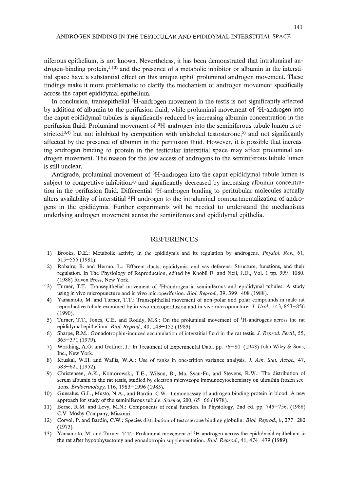niferous epithelium, is not known. Nevertheless, it has been demonstrated that intraluminal androgen-binding protein,  $5,13$ ) and the presence of a metabolic inhibitor or albumin in the interstitial space have a substantial effect on this unique uphill proluminal androgen movement. These findings make it more problematic to clarify the mechanism of androgen movement specifically across the caput epididymal epithelium.

In conclusion, transepithelial 3H-androgen movement in the testis is not significantly affected by addition of albumin to the perifusion fluid, while proluminal movement of 3H-androgen into the caput epididymal tubules is significantly reduced by increasing albumin concentration in the perifusion fluid. Proluminal movement of 3H-androgen into the seminiferous tubule lumen is restricted<sup>3,4)</sup> but not inhibited by competition with unlabeled testosterone,<sup>5)</sup> and not significantly affected by the presence of albumin in the perifusion fluid. However, it is possible that increasing androgen binding to protein in the testicular interstitial space may affect proluminal androgen movement. The reason for the low access of androgens to the seminiferous tubule lumen is still unclear.

Antigrade, proluminal movement of <sup>3</sup>H-androgen into the caput epididymal tubule lumen is subject to competitive inhibition<sup>5)</sup> and significantly decreased by increasing albumin concentration in the perifusion fluid. Differential <sup>3</sup>H-androgen binding to peritubular molecules actually alters availability of interstitial <sup>3</sup>H-androgen to the intraluminal compartmentalization of androgens in the epididymis. Further experiments will be needed to understand the mechanisms underlying androgen movement across the seminiferous and epididymal epithelia.

## REFERENCES

- 1) Brooks, D.E.: Metabolic activity in the epididymis and its regulation by androgens. *Physiol. Rev., 61,* 515-555 (1981).
- 2) Robaire, B. and Hermo, L.: Efferent ducts, epididymis, and vas deferens: Structure, functions, and their regulation. In The Physiology of Reproduction, edited by Knobil E. and Neil, J.D., Vol. 1 pp. 999-1080. (1988) Raven Press, New York.
- <sup>2</sup>3) Turner, T.T.: Transepithelial movement of <sup>3</sup>H-androgen in seminiferous and epididymal tubules: A study using in vivo micropuncture and in vivo microperifusion. *Bioi. Reprod.,* 39, 399-408 (1988).
- 4) Yamamoto, M. and Turner, T.T.: Transepithelial movement of non-polar and polar compounds in male rat reproductive tubule examined by in vivo microperifusion and in vivo micropuncture. J. *Ural.,* 143, 853-856 (1990).
- 5) Turner, T.T., Jones, C.E. and Roddy, M.S.: On the proluminal movement of 3H-androgens across the rat epididymal epithelium. *BioI. Reprod.,* 40,143-152 (1989).
- 6) Sharpe, R.M.: Gonadotrophin-induced accumulation of interstitial fluid in the rat testis. J. *Reprod. Ferti!., 55,* 365-371 (1979).
- 7) Worthing, AG. and Geffner, J.: In Treatment of Experimental Data. pp. 76-80. (1943) John Wiley & Sons, Inc., New York.
- 8) Kruskal, W.H. and Wallis, W.A: Use of ranks in one-crition variance analysis. J. *Am. Stat. Assoc., 47,* 583-621 (1952).
- 9) Christensen, A.K., Komorowski, T.E., Wilson, B., Ma, Syau-Fu, and Stevens, R.W.: The distribution of serum albumin in the rat testis, studied by electron microscope immunocytochemistry on ultrathin frozen sections. *Endocrinology,* 116, 1983-1996 (1985).
- 10) Gunsalus, G.L., Musto, N.A, and Bardin, C.W.: Immunoassay of androgen binding protein in blood: A new approach for study of the seminiferous tubule. *Science,* 200, 65-66 (1978).
- 11) Berne, R.M. and Levy, M.N.: Components of renal function. In Physiology, 2nd ed. pp. 745-756. (1988) C.V. Mosby Company, Missouri.
- 12) Corvol, P. and Bardin, C.W.: Species distribution of testosterone binding globulin. *BioI. Reprod.,* 8, 277-282 (1973).
- 13) Yamamoto, M. and Turner, T.T.: Proluminal movement of 3H-androgen across the epididymal epithelium in the rat after hypophysectomy and gonadotropin supplementation. *Bioi. Reprod.,* 41, 474-479 (1989).